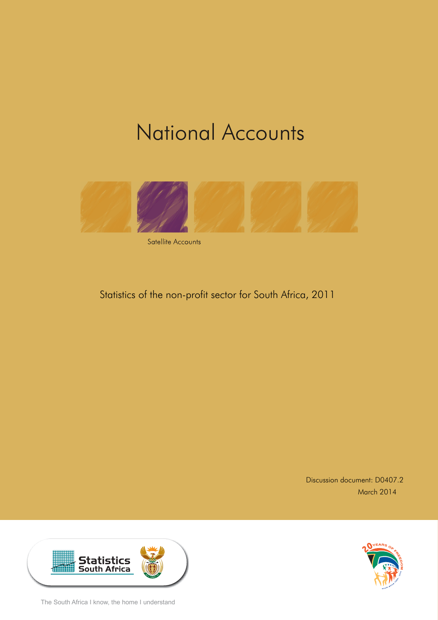# **National Accounts**



Satellite Accounts

# Statistics of the non-profit sector for South Africa, 2011

Discussion document: D0407.2 March 2014





The South Africa I know, the home I understand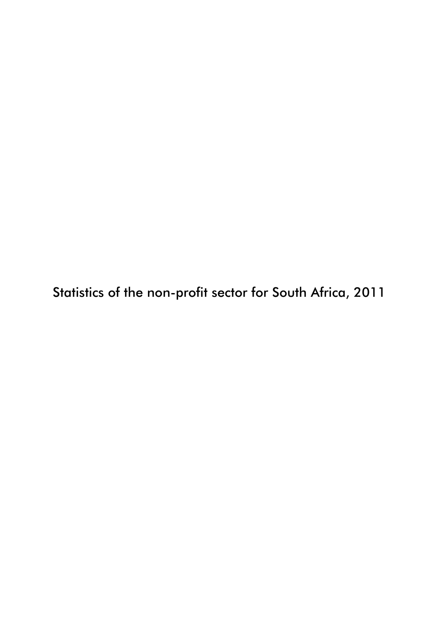Statistics of the non-profit sector for South Africa, 2011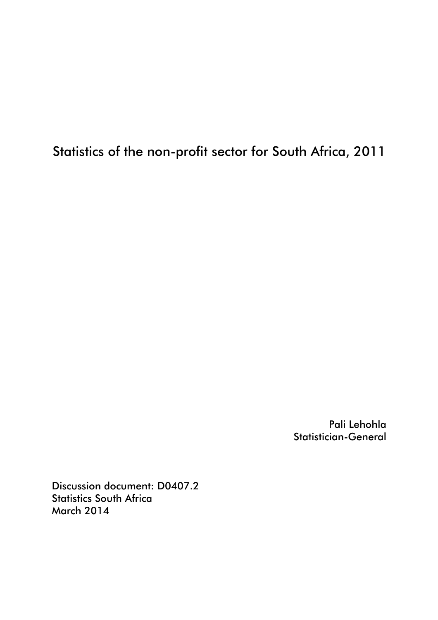# Statistics of the non-profit sector for South Africa, 2011

Pali Lehohla Statistician-General

Discussion document: D0407.2 Statistics South Africa March 2014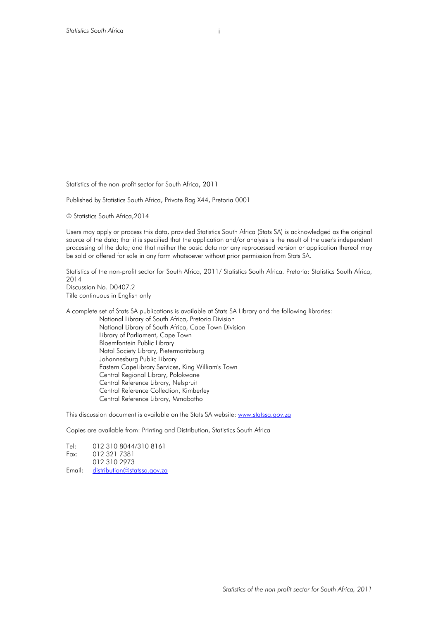Statistics of the non-profit sector for South Africa, 2011

Published by Statistics South Africa, Private Bag X44, Pretoria 0001

© Statistics South Africa,2014

Users may apply or process this data, provided Statistics South Africa (Stats SA) is acknowledged as the original source of the data; that it is specified that the application and/or analysis is the result of the user's independent processing of the data; and that neither the basic data nor any reprocessed version or application thereof may be sold or offered for sale in any form whatsoever without prior permission from Stats SA.

Statistics of the non-profit sector for South Africa, 2011/ Statistics South Africa. Pretoria: Statistics South Africa, 2014 Discussion No. D0407.2 Title continuous in English only

A complete set of Stats SA publications is available at Stats SA Library and the following libraries: National Library of South Africa, Pretoria Division National Library of South Africa, Cape Town Division Library of Parliament, Cape Town Bloemfontein Public Library Natal Society Library, Pietermaritzburg Johannesburg Public Library Eastern CapeLibrary Services, King William's Town Central Regional Library, Polokwane Central Reference Library, Nelspruit Central Reference Collection, Kimberley Central Reference Library, Mmabatho

This discussion document is available on the Stats SA website: www.statssa.gov.za

Copies are available from: Printing and Distribution, Statistics South Africa

Tel: 012 310 8044/310 8161 Fax: 012 321 7381 012 310 2973 Email: distribution@statssa.gov.za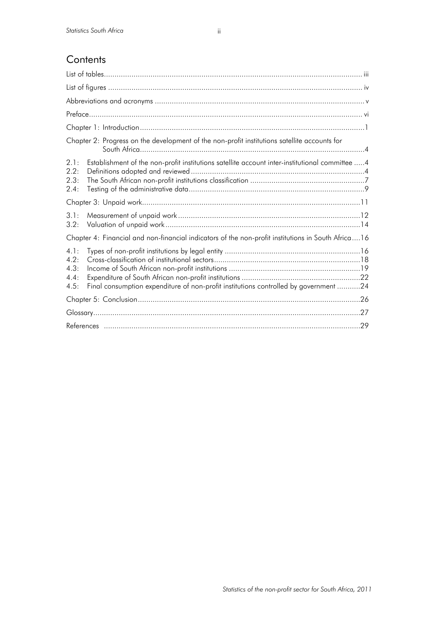|                                          | Chapter 2: Progress on the development of the non-profit institutions satellite accounts for       |
|------------------------------------------|----------------------------------------------------------------------------------------------------|
| 2.1:<br>2.2 <sub>1</sub><br>2.3:<br>2.4: | Establishment of the non-profit institutions satellite account inter-institutional committee 4     |
|                                          |                                                                                                    |
| 3.1:<br>3.2:                             |                                                                                                    |
|                                          | Chapter 4: Financial and non-financial indicators of the non-profit institutions in South Africa16 |
| 4.1:<br>4.2:<br>4.3:<br>4.4:<br>4.5:     | Final consumption expenditure of non-profit institutions controlled by government 24               |
|                                          |                                                                                                    |
|                                          |                                                                                                    |
|                                          | .29                                                                                                |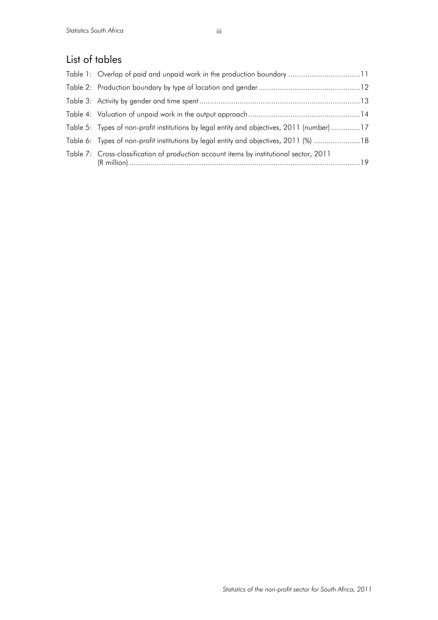# List of tables

| Table 5: Types of non-profit institutions by legal entity and objectives, 2011 (number)17 |  |
|-------------------------------------------------------------------------------------------|--|
| Table 6: Types of non-profit institutions by legal entity and objectives, 2011 (%) 18     |  |
| Table 7: Cross-classification of production account items by institutional sector, 2011   |  |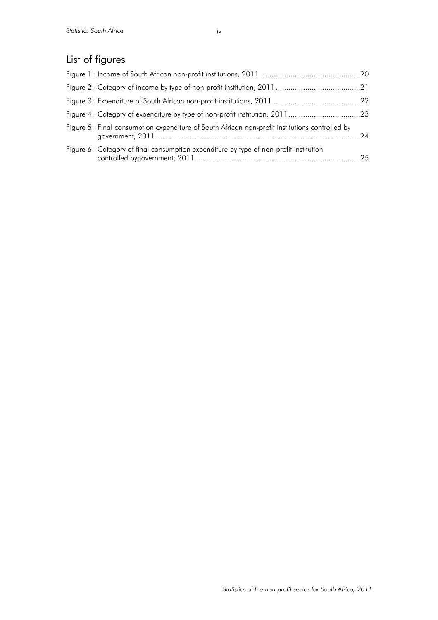# List of figures

| Figure 4: Category of expenditure by type of non-profit institution, 201123                    |  |
|------------------------------------------------------------------------------------------------|--|
| Figure 5: Final consumption expenditure of South African non-profit institutions controlled by |  |
| Figure 6: Category of final consumption expenditure by type of non-profit institution          |  |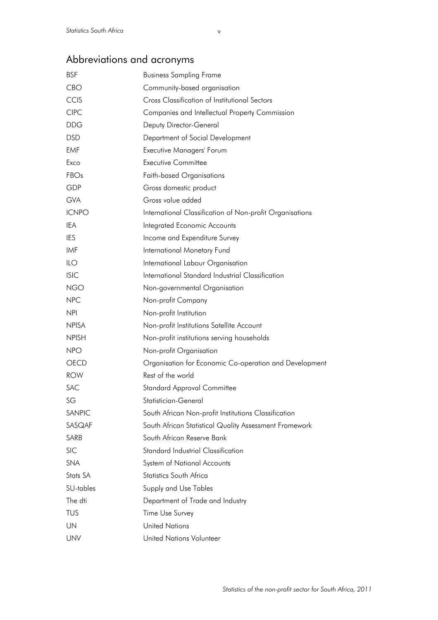# Abbreviations and acronyms

| <b>BSF</b>   | <b>Business Sampling Frame</b>                           |
|--------------|----------------------------------------------------------|
| <b>CBO</b>   | Community-based organisation                             |
| CCIS         | Cross Classification of Institutional Sectors            |
| <b>CIPC</b>  | Companies and Intellectual Property Commission           |
| <b>DDG</b>   | Deputy Director-General                                  |
| <b>DSD</b>   | Department of Social Development                         |
| <b>EMF</b>   | Executive Managers' Forum                                |
| Exco         | <b>Executive Committee</b>                               |
| FBOs         | <b>Faith-based Organisations</b>                         |
| GDP          | Gross domestic product                                   |
| <b>GVA</b>   | Gross value added                                        |
| <b>ICNPO</b> | International Classification of Non-profit Organisations |
| <b>IEA</b>   | Integrated Economic Accounts                             |
| <b>IES</b>   | Income and Expenditure Survey                            |
| IMF          | International Monetary Fund                              |
| ILO          | International Labour Organisation                        |
| <b>ISIC</b>  | International Standard Industrial Classification         |
| <b>NGO</b>   | Non-governmental Organisation                            |
| <b>NPC</b>   | Non-profit Company                                       |
| <b>NPI</b>   | Non-profit Institution                                   |
| <b>NPISA</b> | Non-profit Institutions Satellite Account                |
| <b>NPISH</b> | Non-profit institutions serving households               |
| <b>NPO</b>   | Non-profit Organisation                                  |
| OECD         | Organisation for Economic Co-operation and Development   |
| <b>ROW</b>   | Rest of the world                                        |
| <b>SAC</b>   | <b>Standard Approval Committee</b>                       |
| SG           | Statistician-General                                     |
| SANPIC       | South African Non-profit Institutions Classification     |
| SASQAF       | South African Statistical Quality Assessment Framework   |
| SARB         | South African Reserve Bank                               |
| <b>SIC</b>   | <b>Standard Industrial Classification</b>                |
| <b>SNA</b>   | System of National Accounts                              |
| Stats SA     | Statistics South Africa                                  |
| SU-tables    | Supply and Use Tables                                    |
| The dti      | Department of Trade and Industry                         |
| <b>TUS</b>   | Time Use Survey                                          |
| UN           | <b>United Nations</b>                                    |
| <b>UNV</b>   | United Nations Volunteer                                 |

v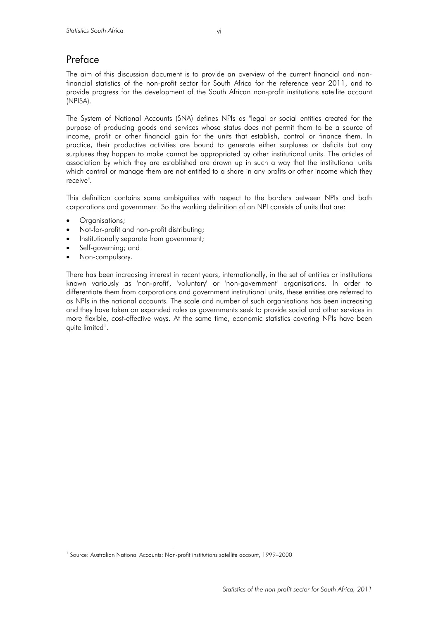The aim of this discussion document is to provide an overview of the current financial and nonfinancial statistics of the non-profit sector for South Africa for the reference year 2011, and to provide progress for the development of the South African non-profit institutions satellite account (NPISA).

The System of National Accounts (SNA) defines NPIs as "legal or social entities created for the purpose of producing goods and services whose status does not permit them to be a source of income, profit or other financial gain for the units that establish, control or finance them. In practice, their productive activities are bound to generate either surpluses or deficits but any surpluses they happen to make cannot be appropriated by other institutional units. The articles of association by which they are established are drawn up in such a way that the institutional units which control or manage them are not entitled to a share in any profits or other income which they receive".

This definition contains some ambiguities with respect to the borders between NPIs and both corporations and government. So the working definition of an NPI consists of units that are:

- Organisations;
- Not-for-profit and non-profit distributing;
- Institutionally separate from government;
- Self-governing; and
- Non-compulsory.

 $\overline{a}$ 

There has been increasing interest in recent years, internationally, in the set of entities or institutions known variously as 'non-profit', 'voluntary' or 'non-government' organisations. In order to differentiate them from corporations and government institutional units, these entities are referred to as NPIs in the national accounts. The scale and number of such organisations has been increasing and they have taken on expanded roles as governments seek to provide social and other services in more flexible, cost-effective ways. At the same time, economic statistics covering NPIs have been quite limited<sup>1</sup>.

<sup>&</sup>lt;sup>1</sup> Source: Australian National Accounts: Non-profit institutions satellite account, 1999–2000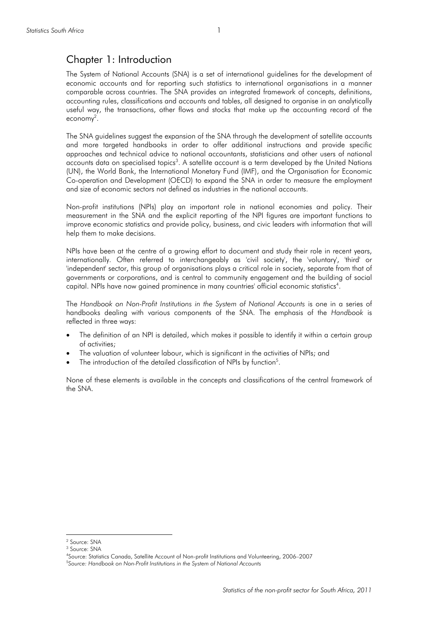# Chapter 1: Introduction

The System of National Accounts (SNA) is a set of international guidelines for the development of economic accounts and for reporting such statistics to international organisations in a manner comparable across countries. The SNA provides an integrated framework of concepts, definitions, accounting rules, classifications and accounts and tables, all designed to organise in an analytically useful way, the transactions, other flows and stocks that make up the accounting record of the economy<sup>2</sup>.

The SNA guidelines suggest the expansion of the SNA through the development of satellite accounts and more targeted handbooks in order to offer additional instructions and provide specific approaches and technical advice to national accountants, statisticians and other users of national accounts data on specialised topics<sup>3</sup>. A satellite account is a term developed by the United Nations (UN), the World Bank, the International Monetary Fund (IMF), and the Organisation for Economic Co-operation and Development (OECD) to expand the SNA in order to measure the employment and size of economic sectors not defined as industries in the national accounts.

Non-profit institutions (NPIs) play an important role in national economies and policy. Their measurement in the SNA and the explicit reporting of the NPI figures are important functions to improve economic statistics and provide policy, business, and civic leaders with information that will help them to make decisions.

NPIs have been at the centre of a growing effort to document and study their role in recent years, internationally. Often referred to interchangeably as 'civil society', the 'voluntary', 'third' or 'independent' sector, this group of organisations plays a critical role in society, separate from that of governments or corporations, and is central to community engagement and the building of social capital. NPIs have now gained prominence in many countries' official economic statistics $^4$ .

The *Handbook on Non-Profit Institutions in the System of National Accounts* is one in a series of handbooks dealing with various components of the SNA. The emphasis of the *Handbook* is reflected in three ways:

- The definition of an NPI is detailed, which makes it possible to identify it within a certain group of activities;
- The valuation of volunteer labour, which is significant in the activities of NPIs; and
- The introduction of the detailed classification of NPIs by function<sup>5</sup>.

None of these elements is available in the concepts and classifications of the central framework of the SNA.

<sup>&</sup>lt;sup>2</sup> Source: SNA

<sup>3</sup> Source: SNA

<sup>4</sup> Source: Statistics Canada, Satellite Account of Non-profit Institutions and Volunteering, 2006–2007

<sup>5</sup> *Source: Handbook on Non-Profit Institutions in the System of National Accounts*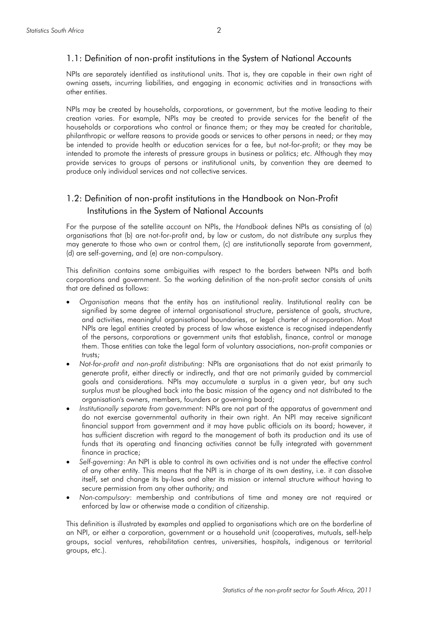#### 1.1: Definition of non-profit institutions in the System of National Accounts

NPIs are separately identified as institutional units. That is, they are capable in their own right of owning assets, incurring liabilities, and engaging in economic activities and in transactions with other entities.

NPIs may be created by households, corporations, or government, but the motive leading to their creation varies. For example, NPIs may be created to provide services for the benefit of the households or corporations who control or finance them; or they may be created for charitable, philanthropic or welfare reasons to provide goods or services to other persons in need; or they may be intended to provide health or education services for a fee, but not-for-profit; or they may be intended to promote the interests of pressure groups in business or politics; etc. Although they may provide services to groups of persons or institutional units, by convention they are deemed to produce only individual services and not collective services.

# 1.2: Definition of non-profit institutions in the Handbook on Non-Profit Institutions in the System of National Accounts

For the purpose of the satellite account on NPIs, the *Handbook* defines NPIs as consisting of (a) organisations that (b) are not-for-profit and, by law or custom, do not distribute any surplus they may generate to those who own or control them, (c) are institutionally separate from government, (d) are self-governing, and (e) are non-compulsory.

This definition contains some ambiguities with respect to the borders between NPIs and both corporations and government. So the working definition of the non-profit sector consists of units that are defined as follows:

- *Organisation* means that the entity has an institutional reality. Institutional reality can be signified by some degree of internal organisational structure, persistence of goals, structure, and activities, meaningful organisational boundaries, or legal charter of incorporation. Most NPIs are legal entities created by process of law whose existence is recognised independently of the persons, corporations or government units that establish, finance, control or manage them. Those entities can take the legal form of voluntary associations, non-profit companies or trusts;
- *Not-for-profit and non-profit distributing*: NPIs are organisations that do not exist primarily to generate profit, either directly or indirectly, and that are not primarily guided by commercial goals and considerations. NPIs may accumulate a surplus in a given year, but any such surplus must be ploughed back into the basic mission of the agency and not distributed to the organisation's owners, members, founders or governing board;
- *Institutionally separate from government*: NPIs are not part of the apparatus of government and do not exercise governmental authority in their own right. An NPI may receive significant financial support from government and it may have public officials on its board; however, it has sufficient discretion with regard to the management of both its production and its use of funds that its operating and financing activities cannot be fully integrated with government finance in practice;
- *Self-governing*: An NPI is able to control its own activities and is not under the effective control of any other entity. This means that the NPI is in charge of its own destiny, i.e. it can dissolve itself, set and change its by-laws and alter its mission or internal structure without having to secure permission from any other authority; and
- *Non-compulsory*: membership and contributions of time and money are not required or enforced by law or otherwise made a condition of citizenship.

This definition is illustrated by examples and applied to organisations which are on the borderline of an NPI, or either a corporation, government or a household unit (cooperatives, mutuals, self-help groups, social ventures, rehabilitation centres, universities, hospitals, indigenous or territorial groups, etc.).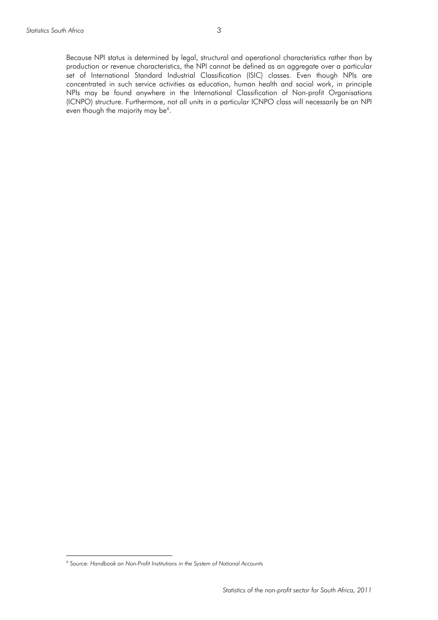Because NPI status is determined by legal, structural and operational characteristics rather than by production or revenue characteristics, the NPI cannot be defined as an aggregate over a particular set of International Standard Industrial Classification (ISIC) classes. Even though NPIs are concentrated in such service activities as education, human health and social work, in principle NPIs may be found anywhere in the International Classification of Non-profit Organisations (ICNPO) structure. Furthermore, not all units in a particular ICNPO class will necessarily be an NPI even though the majority may be<sup>6</sup>.

<sup>6</sup> Source: *Handbook on Non-Profit Institutions in the System of National Accounts*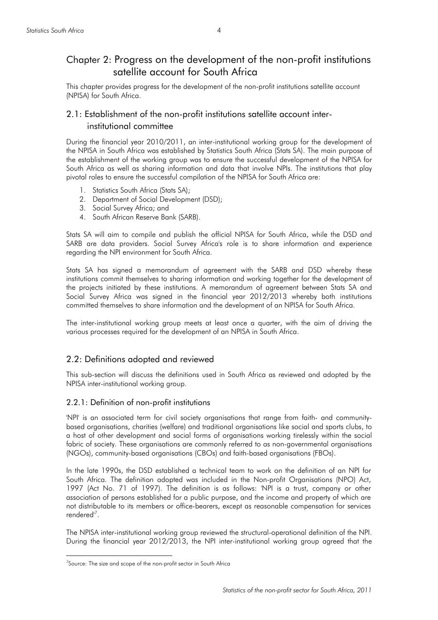# Chapter 2: Progress on the development of the non-profit institutions satellite account for South Africa

This chapter provides progress for the development of the non-profit institutions satellite account (NPISA) for South Africa.

# 2.1: Establishment of the non-profit institutions satellite account interinstitutional committee

During the financial year 2010/2011, an inter-institutional working group for the development of the NPISA in South Africa was established by Statistics South Africa (Stats SA). The main purpose of the establishment of the working group was to ensure the successful development of the NPISA for South Africa as well as sharing information and data that involve NPIs. The institutions that play pivotal roles to ensure the successful compilation of the NPISA for South Africa are:

- 1. Statistics South Africa (Stats SA);
- 2. Department of Social Development (DSD);
- 3. Social Survey Africa; and
- 4. South African Reserve Bank (SARB).

Stats SA will aim to compile and publish the official NPISA for South Africa, while the DSD and SARB are data providers. Social Survey Africa's role is to share information and experience regarding the NPI environment for South Africa.

Stats SA has signed a memorandum of agreement with the SARB and DSD whereby these institutions commit themselves to sharing information and working together for the development of the projects initiated by these institutions. A memorandum of agreement between Stats SA and Social Survey Africa was signed in the financial year 2012/2013 whereby both institutions committed themselves to share information and the development of an NPISA for South Africa.

The inter-institutional working group meets at least once a quarter, with the aim of driving the various processes required for the development of an NPISA in South Africa.

#### 2.2: Definitions adopted and reviewed

This sub-section will discuss the definitions used in South Africa as reviewed and adopted by the NPISA inter-institutional working group.

#### 2.2.1: Definition of non-profit institutions

'NPI' is an associated term for civil society organisations that range from faith- and communitybased organisations, charities (welfare) and traditional organisations like social and sports clubs, to a host of other development and social forms of organisations working tirelessly within the social fabric of society. These organisations are commonly referred to as non-governmental organisations (NGOs), community-based organisations (CBOs) and faith-based organisations (FBOs).

In the late 1990s, the DSD established a technical team to work on the definition of an NPI for South Africa. The definition adopted was included in the Non-profit Organisations (NPO) Act, 1997 (Act No. 71 of 1997). The definition is as follows: 'NPI is a trust, company or other association of persons established for a public purpose, and the income and property of which are not distributable to its members or office-bearers, except as reasonable compensation for services rendered'7 .

The NPISA inter-institutional working group reviewed the structural-operational definition of the NPI. During the financial year 2012/2013, the NPI inter-institutional working group agreed that the

<sup>&</sup>lt;sup>7</sup>Source: The size and scope of the non-profit sector in South Africa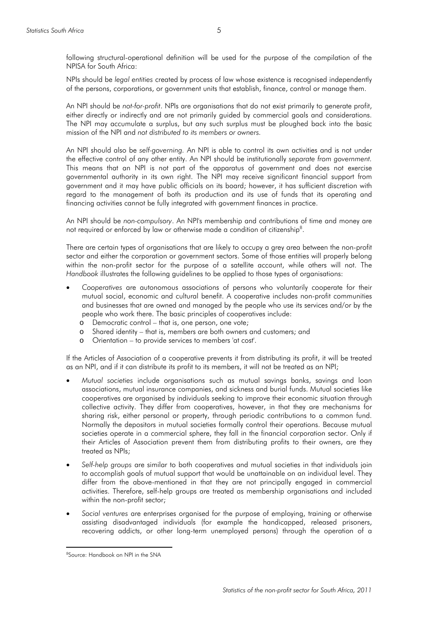following structural-operational definition will be used for the purpose of the compilation of the NPISA for South Africa:

NPIs should be *legal entities* created by process of law whose existence is recognised independently of the persons, corporations, or government units that establish, finance, control or manage them.

An NPI should be *not-for-profit*. NPIs are organisations that do not exist primarily to generate profit, either directly or indirectly and are not primarily guided by commercial goals and considerations. The NPI may accumulate a surplus, but any such surplus must be ploughed back into the basic mission of the NPI and *not distributed to its members or owners.* 

An NPI should also be *self-governing.* An NPI is able to control its own activities and is not under the effective control of any other entity. An NPI should be institutionally *separate from government.* This means that an NPI is not part of the apparatus of government and does not exercise governmental authority in its own right. The NPI may receive significant financial support from government and it may have public officials on its board; however, it has sufficient discretion with regard to the management of both its production and its use of funds that its operating and financing activities cannot be fully integrated with government finances in practice.

An NPI should be *non-compulsory*. An NPI's membership and contributions of time and money are not required or enforced by law or otherwise made a condition of citizenship<sup>8</sup>.

There are certain types of organisations that are likely to occupy a grey area between the non-profit sector and either the corporation or government sectors. Some of those entities will properly belong within the non-profit sector for the purpose of a satellite account, while others will not. The *Handbook* illustrates the following guidelines to be applied to those types of organisations:

- *Cooperatives* are autonomous associations of persons who voluntarily cooperate for their mutual social, economic and cultural benefit. A cooperative includes non-profit communities and businesses that are owned and managed by the people who use its services and/or by the people who work there. The basic principles of cooperatives include:
	- o Democratic control that is, one person, one vote;
	- o Shared identity that is, members are both owners and customers; and
	- o Orientation to provide services to members 'at cost'.

If the Articles of Association of a cooperative prevents it from distributing its profit, it will be treated as an NPI, and if it can distribute its profit to its members, it will not be treated as an NPI;

- *Mutual societies* include organisations such as mutual savings banks, savings and loan associations, mutual insurance companies, and sickness and burial funds. Mutual societies like cooperatives are organised by individuals seeking to improve their economic situation through collective activity. They differ from cooperatives, however, in that they are mechanisms for sharing risk, either personal or property, through periodic contributions to a common fund. Normally the depositors in mutual societies formally control their operations. Because mutual societies operate in a commercial sphere, they fall in the financial corporation sector. Only if their Articles of Association prevent them from distributing profits to their owners, are they treated as NPIs;
- *Self-help groups* are similar to both cooperatives and mutual societies in that individuals join to accomplish goals of mutual support that would be unattainable on an individual level. They differ from the above-mentioned in that they are not principally engaged in commercial activities. Therefore, self-help groups are treated as membership organisations and included within the non-profit sector;
- *Social ventures* are enterprises organised for the purpose of employing, training or otherwise assisting disadvantaged individuals (for example the handicapped, released prisoners, recovering addicts, or other long-term unemployed persons) through the operation of a

<sup>&</sup>lt;sup>8</sup>Source: Handbook on NPI in the SNA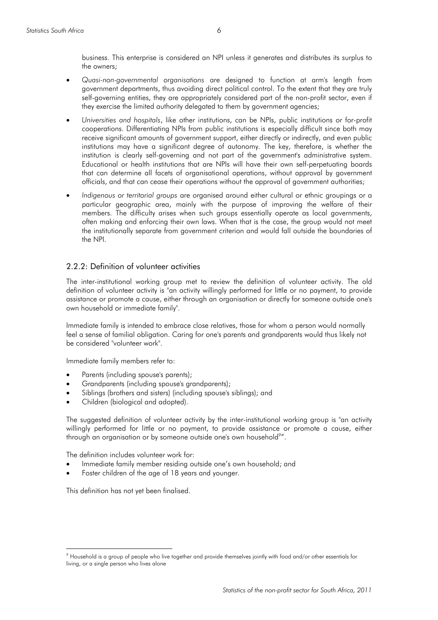business. This enterprise is considered an NPI unless it generates and distributes its surplus to the owners;

- *Quasi-non-governmental organisations* are designed to function at arm's length from government departments, thus avoiding direct political control. To the extent that they are truly self-governing entities, they are appropriately considered part of the non-profit sector, even if they exercise the limited authority delegated to them by government agencies;
- *Universities and hospitals*, like other institutions, can be NPIs, public institutions or for-profit cooperations. Differentiating NPIs from public institutions is especially difficult since both may receive significant amounts of government support, either directly or indirectly, and even public institutions may have a significant degree of autonomy. The key, therefore, is whether the institution is clearly self-governing and not part of the government's administrative system. Educational or health institutions that are NPIs will have their own self-perpetuating boards that can determine all facets of organisational operations, without approval by government officials, and that can cease their operations without the approval of government authorities;
- *Indigenous or territorial groups* are organised around either cultural or ethnic groupings or a particular geographic area, mainly with the purpose of improving the welfare of their members. The difficulty arises when such groups essentially operate as local governments, often making and enforcing their own laws. When that is the case, the group would not meet the institutionally separate from government criterion and would fall outside the boundaries of the NPI.

#### 2.2.2: Definition of volunteer activities

The inter-institutional working group met to review the definition of volunteer activity. The old definition of volunteer activity is "an activity willingly performed for little or no payment, to provide assistance or promote a cause, either through an organisation or directly for someone outside one's own household or immediate family".

Immediate family is intended to embrace close relatives, those for whom a person would normally feel a sense of familial obligation. Caring for one's parents and grandparents would thus likely not be considered "volunteer work".

Immediate family members refer to:

- Parents (including spouse's parents);
- Grandparents (including spouse's grandparents);
- Siblings (brothers and sisters) (including spouse's siblings); and
- Children (biological and adopted).

The suggested definition of volunteer activity by the inter-institutional working group is "an activity willingly performed for little or no payment, to provide assistance or promote a cause, either through an organisation or by someone outside one's own household<sup>9</sup>".

The definition includes volunteer work for:

- Immediate family member residing outside one's own household; and
- Foster children of the age of 18 years and younger.

This definition has not yet been finalised.

<sup>9</sup> Household is a group of people who live together and provide themselves jointly with food and/or other essentials for living, or a single person who lives alone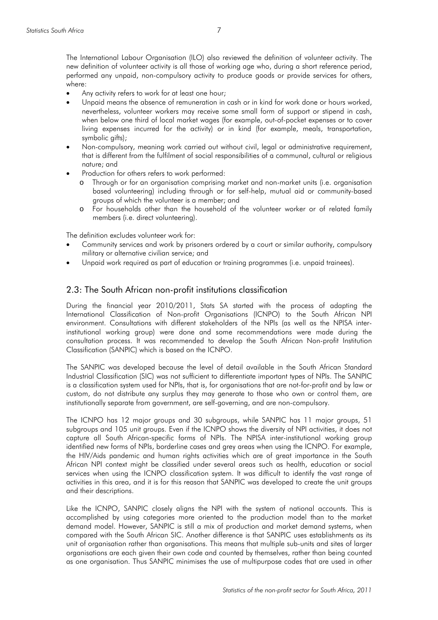The International Labour Organisation (ILO) also reviewed the definition of volunteer activity. The new definition of volunteer activity is all those of working age who, during a short reference period, performed any unpaid, non-compulsory activity to produce goods or provide services for others, where:

- Any activity refers to work for at least one hour;
- Unpaid means the absence of remuneration in cash or in kind for work done or hours worked, nevertheless, volunteer workers may receive some small form of support or stipend in cash, when below one third of local market wages (for example, out-of-pocket expenses or to cover living expenses incurred for the activity) or in kind (for example, meals, transportation, symbolic gifts);
- Non-compulsory, meaning work carried out without civil, legal or administrative requirement, that is different from the fulfilment of social responsibilities of a communal, cultural or religious nature; and
- Production for others refers to work performed:
	- o Through or for an organisation comprising market and non-market units (i.e. organisation based volunteering) including through or for self-help, mutual aid or community-based groups of which the volunteer is a member; and
	- o For households other than the household of the volunteer worker or of related family members (i.e. direct volunteering).

The definition excludes volunteer work for:

- Community services and work by prisoners ordered by a court or similar authority, compulsory military or alternative civilian service; and
- Unpaid work required as part of education or training programmes (i.e. unpaid trainees).

#### 2.3: The South African non-profit institutions classification

During the financial year 2010/2011, Stats SA started with the process of adapting the International Classification of Non-profit Organisations (ICNPO) to the South African NPI environment. Consultations with different stakeholders of the NPIs (as well as the NPISA interinstitutional working group) were done and some recommendations were made during the consultation process. It was recommended to develop the South African Non-profit Institution Classification (SANPIC) which is based on the ICNPO.

The SANPIC was developed because the level of detail available in the South African Standard Industrial Classification (SIC) was not sufficient to differentiate important types of NPIs. The SANPIC is a classification system used for NPIs, that is, for organisations that are not-for-profit and by law or custom, do not distribute any surplus they may generate to those who own or control them, are institutionally separate from government, are self-governing, and are non-compulsory.

The ICNPO has 12 major groups and 30 subgroups, while SANPIC has 11 major groups, 51 subgroups and 105 unit groups. Even if the ICNPO shows the diversity of NPI activities, it does not capture all South African-specific forms of NPIs. The NPISA inter-institutional working group identified new forms of NPIs, borderline cases and grey areas when using the ICNPO. For example, the HIV/Aids pandemic and human rights activities which are of great importance in the South African NPI context might be classified under several areas such as health, education or social services when using the ICNPO classification system. It was difficult to identify the vast range of activities in this area, and it is for this reason that SANPIC was developed to create the unit groups and their descriptions.

Like the ICNPO, SANPIC closely aligns the NPI with the system of national accounts. This is accomplished by using categories more oriented to the production model than to the market demand model. However, SANPIC is still a mix of production and market demand systems, when compared with the South African SIC. Another difference is that SANPIC uses establishments as its unit of organisation rather than organisations. This means that multiple sub-units and sites of larger organisations are each given their own code and counted by themselves, rather than being counted as one organisation. Thus SANPIC minimises the use of multipurpose codes that are used in other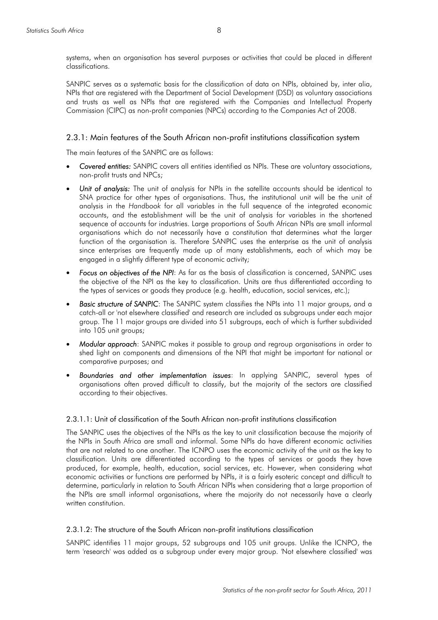systems, when an organisation has several purposes or activities that could be placed in different classifications.

SANPIC serves as a systematic basis for the classification of data on NPIs, obtained by, inter alia, NPIs that are registered with the Department of Social Development (DSD) as voluntary associations and trusts as well as NPIs that are registered with the Companies and Intellectual Property Commission (CIPC) as non-profit companies (NPCs) according to the Companies Act of 2008.

#### 2.3.1: Main features of the South African non-profit institutions classification system

The main features of the SANPIC are as follows:

- *Covered entities:* SANPIC covers all entities identified as NPIs. These are voluntary associations, non-profit trusts and NPCs;
- *Unit of analysis:* The unit of analysis for NPIs in the satellite accounts should be identical to SNA practice for other types of organisations. Thus, the institutional unit will be the unit of analysis in the *Handbook* for all variables in the full sequence of the integrated economic accounts, and the establishment will be the unit of analysis for variables in the shortened sequence of accounts for industries. Large proportions of South African NPIs are small informal organisations which do not necessarily have a constitution that determines what the larger function of the organisation is. Therefore SANPIC uses the enterprise as the unit of analysis since enterprises are frequently made up of many establishments, each of which may be engaged in a slightly different type of economic activity;
- *Focus on objectives of the NPI*: As far as the basis of classification is concerned, SANPIC uses the objective of the NPI as the key to classification. Units are thus differentiated according to the types of services or goods they produce (e.g. health, education, social services, etc.);
- **Basic structure of SANPIC:** The SANPIC system classifies the NPIs into 11 major groups, and a catch-all or 'not elsewhere classified' and research are included as subgroups under each major group. The 11 major groups are divided into 51 subgroups, each of which is further subdivided into 105 unit groups;
- *Modular approach*: SANPIC makes it possible to group and regroup organisations in order to shed light on components and dimensions of the NPI that might be important for national or comparative purposes; and
- *Boundaries and other implementation issues*: In applying SANPIC, several types of organisations often proved difficult to classify, but the majority of the sectors are classified according to their objectives.

#### 2.3.1.1: Unit of classification of the South African non-profit institutions classification

The SANPIC uses the objectives of the NPIs as the key to unit classification because the majority of the NPIs in South Africa are small and informal. Some NPIs do have different economic activities that are not related to one another. The ICNPO uses the economic activity of the unit as the key to classification. Units are differentiated according to the types of services or goods they have produced, for example, health, education, social services, etc. However, when considering what economic activities or functions are performed by NPIs, it is a fairly esoteric concept and difficult to determine, particularly in relation to South African NPIs when considering that a large proportion of the NPIs are small informal organisations, where the majority do not necessarily have a clearly written constitution.

#### 2.3.1.2: The structure of the South African non-profit institutions classification

SANPIC identifies 11 major groups, 52 subgroups and 105 unit groups. Unlike the ICNPO, the term 'research' was added as a subgroup under every major group. 'Not elsewhere classified' was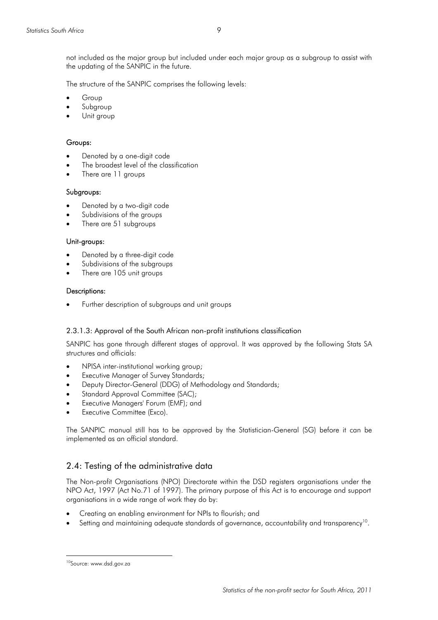not included as the major group but included under each major group as a subgroup to assist with the updating of the SANPIC in the future.

The structure of the SANPIC comprises the following levels:

- **Group**
- Subgroup
- Unit group

#### Groups:

- Denoted by a one-digit code
- The broadest level of the classification
- There are 11 groups

#### Subgroups:

- Denoted by a two-digit code
- Subdivisions of the groups
- There are 51 subgroups

#### Unit-groups:

- Denoted by a three-digit code
- Subdivisions of the subgroups
- There are 105 unit groups

#### Descriptions:

• Further description of subgroups and unit groups

#### 2.3.1.3: Approval of the South African non-profit institutions classification

SANPIC has gone through different stages of approval. It was approved by the following Stats SA structures and officials:

- NPISA inter-institutional working group;
- Executive Manager of Survey Standards;
- Deputy Director-General (DDG) of Methodology and Standards;
- Standard Approval Committee (SAC);
- Executive Managers' Forum (EMF); and
- Executive Committee (Exco).

The SANPIC manual still has to be approved by the Statistician-General (SG) before it can be implemented as an official standard.

#### 2.4: Testing of the administrative data

The Non-profit Organisations (NPO) Directorate within the DSD registers organisations under the NPO Act, 1997 (Act No.71 of 1997). The primary purpose of this Act is to encourage and support organisations in a wide range of work they do by:

- Creating an enabling environment for NPIs to flourish; and
- Setting and maintaining adequate standards of governance, accountability and transparency<sup>10</sup>.

<sup>10</sup>Source: www.dsd.gov.za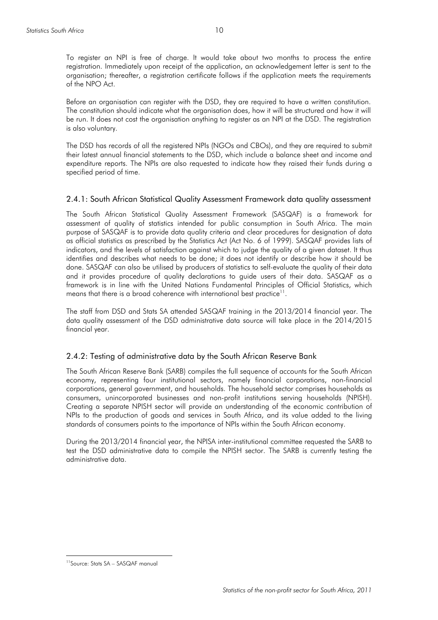To register an NPI is free of charge. It would take about two months to process the entire registration. Immediately upon receipt of the application, an acknowledgement letter is sent to the organisation; thereafter, a registration certificate follows if the application meets the requirements of the NPO Act.

Before an organisation can register with the DSD, they are required to have a written constitution. The constitution should indicate what the organisation does, how it will be structured and how it will be run. It does not cost the organisation anything to register as an NPI at the DSD. The registration is also voluntary.

The DSD has records of all the registered NPIs (NGOs and CBOs), and they are required to submit their latest annual financial statements to the DSD, which include a balance sheet and income and expenditure reports. The NPIs are also requested to indicate how they raised their funds during a specified period of time.

#### 2.4.1: South African Statistical Quality Assessment Framework data quality assessment

The South African Statistical Quality Assessment Framework (SASQAF) is a framework for assessment of quality of statistics intended for public consumption in South Africa. The main purpose of SASQAF is to provide data quality criteria and clear procedures for designation of data as official statistics as prescribed by the Statistics Act (Act No. 6 of 1999). SASQAF provides lists of indicators, and the levels of satisfaction against which to judge the quality of a given dataset. It thus identifies and describes what needs to be done; it does not identify or describe how it should be done. SASQAF can also be utilised by producers of statistics to self-evaluate the quality of their data and it provides procedure of quality declarations to guide users of their data. SASQAF as a framework is in line with the United Nations Fundamental Principles of Official Statistics, which means that there is a broad coherence with international best practice<sup>11</sup>.

The staff from DSD and Stats SA attended SASQAF training in the 2013/2014 financial year. The data quality assessment of the DSD administrative data source will take place in the 2014/2015 financial year.

#### 2.4.2: Testing of administrative data by the South African Reserve Bank

The South African Reserve Bank (SARB) compiles the full sequence of accounts for the South African economy, representing four institutional sectors, namely financial corporations, non-financial corporations, general government, and households. The household sector comprises households as consumers, unincorporated businesses and non-profit institutions serving households (NPISH). Creating a separate NPISH sector will provide an understanding of the economic contribution of NPIs to the production of goods and services in South Africa, and its value added to the living standards of consumers points to the importance of NPIs within the South African economy.

During the 2013/2014 financial year, the NPISA inter-institutional committee requested the SARB to test the DSD administrative data to compile the NPISH sector. The SARB is currently testing the administrative data.

<sup>11</sup>Source: Stats SA – SASQAF manual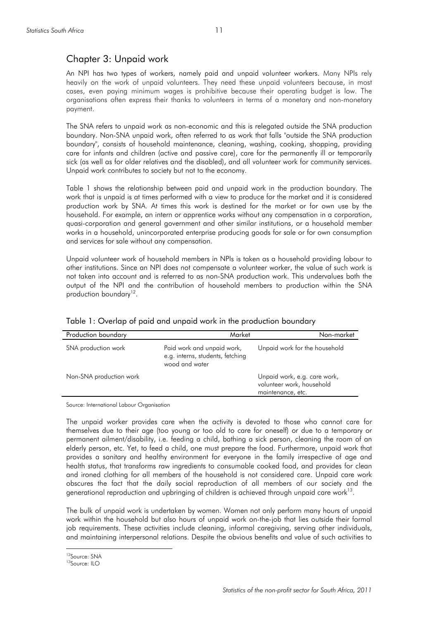# Chapter 3: Unpaid work

An NPI has two types of workers, namely paid and unpaid volunteer workers. Many NPIs rely heavily on the work of unpaid volunteers. They need these unpaid volunteers because, in most cases, even paying minimum wages is prohibitive because their operating budget is low. The organisations often express their thanks to volunteers in terms of a monetary and non-monetary payment.

The SNA refers to unpaid work as non-economic and this is relegated outside the SNA production boundary. Non-SNA unpaid work, often referred to as work that falls "outside the SNA production boundary", consists of household maintenance, cleaning, washing, cooking, shopping, providing care for infants and children (active and passive care), care for the permanently ill or temporarily sick (as well as for older relatives and the disabled), and all volunteer work for community services. Unpaid work contributes to society but not to the economy.

Table 1 shows the relationship between paid and unpaid work in the production boundary. The work that is unpaid is at times performed with a view to produce for the market and it is considered production work by SNA. At times this work is destined for the market or for own use by the household. For example, an intern or apprentice works without any compensation in a corporation, quasi-corporation and general government and other similar institutions, or a household member works in a household, unincorporated enterprise producing goods for sale or for own consumption and services for sale without any compensation.

Unpaid volunteer work of household members in NPIs is taken as a household providing labour to other institutions. Since an NPI does not compensate a volunteer worker, the value of such work is not taken into account and is referred to as non-SNA production work. This undervalues both the output of the NPI and the contribution of household members to production within the SNA production boundary<sup>12</sup>.

| Production boundary     | Market                                                                           | Non-market                                                                     |
|-------------------------|----------------------------------------------------------------------------------|--------------------------------------------------------------------------------|
| SNA production work     | Paid work and unpaid work,<br>e.g. interns, students, fetching<br>wood and water | Unpaid work for the household                                                  |
| Non-SNA production work |                                                                                  | Unpaid work, e.g. care work,<br>volunteer work, household<br>maintenance, etc. |

Table 1: Overlap of paid and unpaid work in the production boundary

Source: International Labour Organisation

The unpaid worker provides care when the activity is devoted to those who cannot care for themselves due to their age (too young or too old to care for oneself) or due to a temporary or permanent ailment/disability, i.e. feeding a child, bathing a sick person, cleaning the room of an elderly person, etc. Yet, to feed a child, one must prepare the food. Furthermore, unpaid work that provides a sanitary and healthy environment for everyone in the family irrespective of age and health status, that transforms raw ingredients to consumable cooked food, and provides for clean and ironed clothing for all members of the household is not considered care. Unpaid care work obscures the fact that the daily social reproduction of all members of our society and the generational reproduction and upbringing of children is achieved through unpaid care work<sup>13</sup>.

The bulk of unpaid work is undertaken by women. Women not only perform many hours of unpaid work within the household but also hours of unpaid work on-the-job that lies outside their formal job requirements. These activities include cleaning, informal caregiving, serving other individuals, and maintaining interpersonal relations. Despite the obvious benefits and value of such activities to

<sup>12</sup>Source: SNA

 $13$ Source:  $11$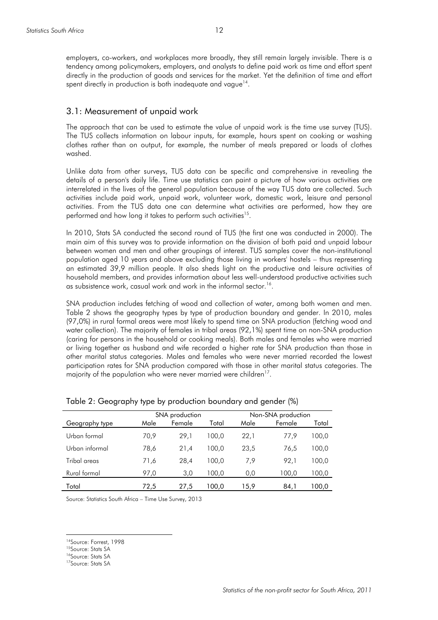employers, co-workers, and workplaces more broadly, they still remain largely invisible. There is a tendency among policymakers, employers, and analysts to define paid work as time and effort spent directly in the production of goods and services for the market. Yet the definition of time and effort spent directly in production is both inadequate and vague<sup>14</sup>.

#### 3.1: Measurement of unpaid work

The approach that can be used to estimate the value of unpaid work is the time use survey (TUS). The TUS collects information on labour inputs, for example, hours spent on cooking or washing clothes rather than on output, for example, the number of meals prepared or loads of clothes washed.

Unlike data from other surveys, TUS data can be specific and comprehensive in revealing the details of a person's daily life. Time use statistics can paint a picture of how various activities are interrelated in the lives of the general population because of the way TUS data are collected. Such activities include paid work, unpaid work, volunteer work, domestic work, leisure and personal activities. From the TUS data one can determine what activities are performed, how they are performed and how long it takes to perform such activities<sup>15</sup>.

In 2010, Stats SA conducted the second round of TUS (the first one was conducted in 2000). The main aim of this survey was to provide information on the division of both paid and unpaid labour between women and men and other groupings of interest. TUS samples cover the non-institutional population aged 10 years and above excluding those living in workers' hostels – thus representing an estimated 39,9 million people. It also sheds light on the productive and leisure activities of household members, and provides information about less well-understood productive activities such as subsistence work, casual work and work in the informal sector.<sup>16</sup>.

SNA production includes fetching of wood and collection of water, among both women and men. Table 2 shows the geography types by type of production boundary and gender. In 2010, males (97,0%) in rural formal areas were most likely to spend time on SNA production (fetching wood and water collection). The majority of females in tribal areas (92,1%) spent time on non-SNA production (caring for persons in the household or cooking meals). Both males and females who were married or living together as husband and wife recorded a higher rate for SNA production than those in other marital status categories. Males and females who were never married recorded the lowest participation rates for SNA production compared with those in other marital status categories. The majority of the population who were never married were children<sup>17</sup>.

|                | SNA production |        |       |      | Non-SNA production |       |
|----------------|----------------|--------|-------|------|--------------------|-------|
| Geography type | Male           | Female | Total | Male | Female             | Total |
| Urban formal   | 70,9           | 29,1   | 100.0 | 22,1 | 77.9               | 100,0 |
| Urban informal | 78,6           | 21,4   | 100.0 | 23.5 | 76.5               | 100.0 |
| Tribal areas   | 71,6           | 28.4   | 100.0 | 7,9  | 92.1               | 100.0 |
| Rural formal   | 97,0           | 3,0    | 100.0 | 0,0  | 100,0              | 100,0 |
| Total          | 72,5           | 27,5   | 100.0 | 15,9 | 84,1               | 100,0 |

Table 2: Geography type by production boundary and gender (%)

Source: Statistics South Africa – Time Use Survey, 2013

<sup>14</sup>Source: Forrest, 1998

<sup>&</sup>lt;sup>15</sup>Source: Stats SA

<sup>&</sup>lt;sup>16</sup>Source: Stats SA

<sup>17</sup>Source: Stats SA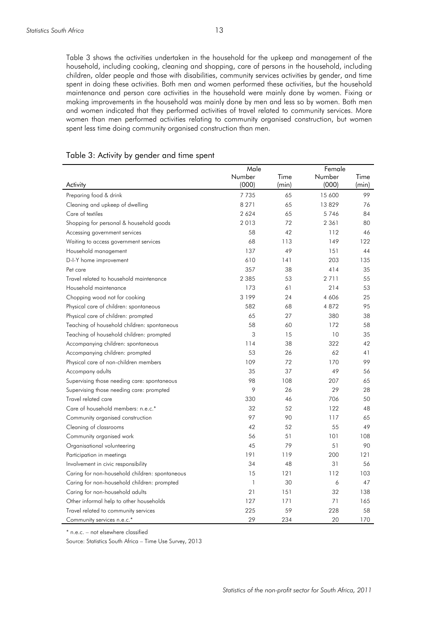Table 3 shows the activities undertaken in the household for the upkeep and management of the household, including cooking, cleaning and shopping, care of persons in the household, including children, older people and those with disabilities, community services activities by gender, and time spent in doing these activities. Both men and women performed these activities, but the household maintenance and person care activities in the household were mainly done by women. Fixing or making improvements in the household was mainly done by men and less so by women. Both men and women indicated that they performed activities of travel related to community services. More women than men performed activities relating to community organised construction, but women spent less time doing community organised construction than men.

|                                                | Male    |       | Female  |       |
|------------------------------------------------|---------|-------|---------|-------|
|                                                | Number  | Time  | Number  | Time  |
| Activity                                       | (000)   | (min) | (000)   | (min) |
| Preparing food & drink                         | 7 7 3 5 | 65    | 15 600  | 99    |
| Cleaning and upkeep of dwelling                | 8 2 7 1 | 65    | 13829   | 76    |
| Care of textiles                               | 2 6 2 4 | 65    | 5746    | 84    |
| Shopping for personal & household goods        | 2013    | 72    | 2 3 6 1 | 80    |
| Accessing government services                  | 58      | 42    | 112     | 46    |
| Waiting to access government services          | 68      | 113   | 149     | 122   |
| Household management                           | 137     | 49    | 151     | 44    |
| D-I-Y home improvement                         | 610     | 141   | 203     | 135   |
| Pet care                                       | 357     | 38    | 414     | 35    |
| Travel related to household maintenance        | 2 3 8 5 | 53    | 2711    | 55    |
| Household maintenance                          | 173     | 61    | 214     | 53    |
| Chopping wood not for cooking                  | 3 1 9 9 | 24    | 4 606   | 25    |
| Physical care of children: spontaneous         | 582     | 68    | 4872    | 95    |
| Physical care of children: prompted            | 65      | 27    | 380     | 38    |
| Teaching of household children: spontaneous    | 58      | 60    | 172     | 58    |
| Teaching of household children: prompted       | 3       | 15    | 10      | 35    |
| Accompanying children: spontaneous             | 114     | 38    | 322     | 42    |
| Accompanying children: prompted                | 53      | 26    | 62      | 41    |
| Physical care of non-children members          | 109     | 72    | 170     | 99    |
| Accompany adults                               | 35      | 37    | 49      | 56    |
| Supervising those needing care: spontaneous    | 98      | 108   | 207     | 65    |
| Supervising those needing care: prompted       | 9       | 26    | 29      | 28    |
| Travel related care                            | 330     | 46    | 706     | 50    |
| Care of household members: n.e.c.*             | 32      | 52    | 122     | 48    |
| Community organised construction               | 97      | 90    | 117     | 65    |
| Cleaning of classrooms                         | 42      | 52    | 55      | 49    |
| Community organised work                       | 56      | 51    | 101     | 108   |
| Organisational volunteering                    | 45      | 79    | 51      | 90    |
| Participation in meetings                      | 191     | 119   | 200     | 121   |
| Involvement in civic responsibility            | 34      | 48    | 31      | 56    |
| Caring for non-household children: spontaneous | 15      | 121   | 112     | 103   |
| Caring for non-household children: prompted    | 1       | 30    | 6       | 47    |
| Caring for non-household adults                | 21      | 151   | 32      | 138   |
| Other informal help to other households        | 127     | 171   | 71      | 165   |
| Travel related to community services           | 225     | 59    | 228     | 58    |
| Community services n.e.c.*                     | 29      | 234   | 20      | 170   |

#### Table 3: Activity by gender and time spent

\* n.e.c. – not elsewhere classified

Source: Statistics South Africa – Time Use Survey, 2013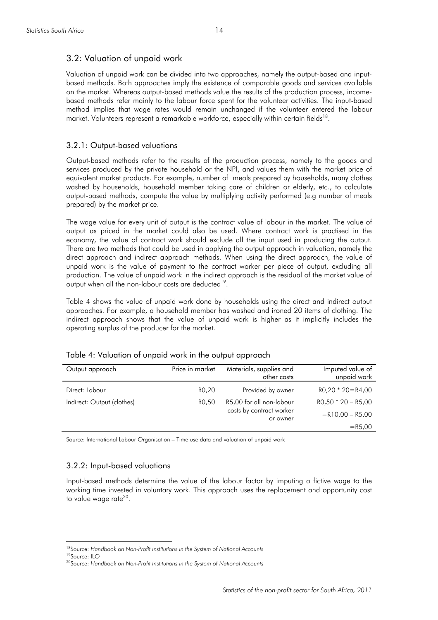#### 3.2: Valuation of unpaid work

Valuation of unpaid work can be divided into two approaches, namely the output-based and inputbased methods. Both approaches imply the existence of comparable goods and services available on the market. Whereas output-based methods value the results of the production process, incomebased methods refer mainly to the labour force spent for the volunteer activities. The input-based method implies that wage rates would remain unchanged if the volunteer entered the labour market. Volunteers represent a remarkable workforce, especially within certain fields<sup>18</sup>.

#### 3.2.1: Output-based valuations

Output-based methods refer to the results of the production process, namely to the goods and services produced by the private household or the NPI, and values them with the market price of equivalent market products. For example, number of meals prepared by households, many clothes washed by households, household member taking care of children or elderly, etc., to calculate output-based methods, compute the value by multiplying activity performed (e.g number of meals prepared) by the market price.

The wage value for every unit of output is the contract value of labour in the market. The value of output as priced in the market could also be used. Where contract work is practised in the economy, the value of contract work should exclude all the input used in producing the output. There are two methods that could be used in applying the output approach in valuation, namely the direct approach and indirect approach methods. When using the direct approach, the value of unpaid work is the value of payment to the contract worker per piece of output, excluding all production. The value of unpaid work in the indirect approach is the residual of the market value of output when all the non-labour costs are deducted<sup>19</sup>.

Table 4 shows the value of unpaid work done by households using the direct and indirect output approaches. For example, a household member has washed and ironed 20 items of clothing. The indirect approach shows that the value of unpaid work is higher as it implicitly includes the operating surplus of the producer for the market.

| Output approach            | Price in market | Materials, supplies and<br>other costs | Imputed value of<br>unpaid work |
|----------------------------|-----------------|----------------------------------------|---------------------------------|
| Direct: Labour             | RO,20           | Provided by owner                      | $RO, 20 * 20 = R4, 00$          |
| Indirect: Output (clothes) | RO.50           | R5,00 for all non-labour               | $RO, 50 * 20 - R5, 00$          |
|                            |                 | costs by contract worker<br>or owner   | $=R10,00 - R5,00$               |
|                            |                 |                                        | $=R5,00$                        |

Table 4: Valuation of unpaid work in the output approach

Source: International Labour Organisation – Time use data and valuation of unpaid work

#### 3.2.2: Input-based valuations

Input-based methods determine the value of the labour factor by imputing a fictive wage to the working time invested in voluntary work. This approach uses the replacement and opportunity cost to value wage rate<sup>20</sup>.

<sup>18</sup>Source: *Handbook on Non-Profit Institutions in the System of National Accounts* 

<sup>19</sup>Source: ILO

<sup>20</sup>Source: *Handbook on Non-Profit Institutions in the System of National Accounts*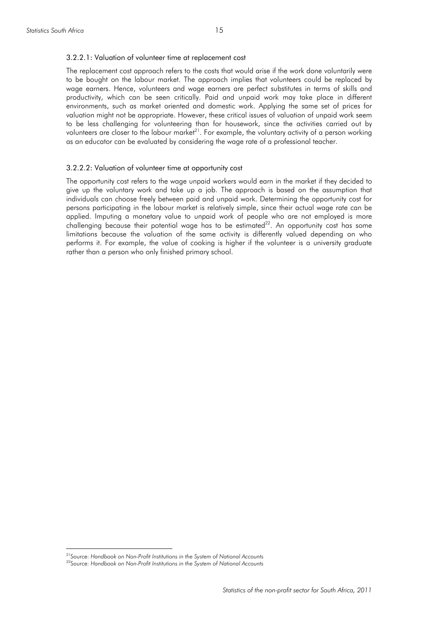#### 3.2.2.1: Valuation of volunteer time at replacement cost

The replacement cost approach refers to the costs that would arise if the work done voluntarily were to be bought on the labour market. The approach implies that volunteers could be replaced by wage earners. Hence, volunteers and wage earners are perfect substitutes in terms of skills and productivity, which can be seen critically. Paid and unpaid work may take place in different environments, such as market oriented and domestic work. Applying the same set of prices for valuation might not be appropriate. However, these critical issues of valuation of unpaid work seem to be less challenging for volunteering than for housework, since the activities carried out by volunteers are closer to the labour market<sup>21</sup>. For example, the voluntary activity of a person working as an educator can be evaluated by considering the wage rate of a professional teacher.

#### 3.2.2.2: Valuation of volunteer time at opportunity cost

The opportunity cost refers to the wage unpaid workers would earn in the market if they decided to give up the voluntary work and take up a job. The approach is based on the assumption that individuals can choose freely between paid and unpaid work. Determining the opportunity cost for persons participating in the labour market is relatively simple, since their actual wage rate can be applied. Imputing a monetary value to unpaid work of people who are not employed is more challenging because their potential wage has to be estimated $^{22}$ . An opportunity cost has some limitations because the valuation of the same activity is differently valued depending on who performs it. For example, the value of cooking is higher if the volunteer is a university graduate rather than a person who only finished primary school.

<sup>21</sup>Source: *Handbook on Non-Profit Institutions in the System of National Accounts* 

<sup>22</sup>Source: *Handbook on Non-Profit Institutions in the System of National Accounts*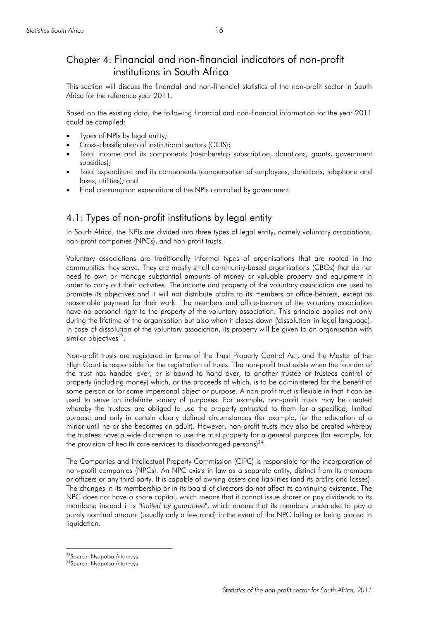# Chapter 4: Financial and non-financial indicators of non-profit institutions in South Africa

This section will discuss the financial and non-financial statistics of the non-profit sector in South Africa for the reference year 2011.

Based on the existing data, the following financial and non-financial information for the year 2011 could be compiled:

- Types of NPIs by legal entity;
- Cross-classification of institutional sectors (CCIS);
- Total income and its components (membership subscription, donations, grants, government subsidies);
- Total expenditure and its components (compensation of employees, donations, telephone and faxes, utilities); and
- Final consumption expenditure of the NPIs controlled by government.

# 4.1: Types of non-profit institutions by legal entity

In South Africa, the NPIs are divided into three types of legal entity, namely voluntary associations, non-profit companies (NPCs), and non-profit trusts.

Voluntary associations are traditionally informal types of organisations that are rooted in the communities they serve. They are mostly small community-based organisations (CBOs) that do not need to own or manage substantial amounts of money or valuable property and equipment in order to carry out their activities. The income and property of the voluntary association are used to promote its objectives and it will not distribute profits to its members or office-bearers, except as reasonable payment for their work. The members and office-bearers of the voluntary association have no personal right to the property of the voluntary association. This principle applies not only during the lifetime of the organisation but also when it closes down ('dissolution' in legal language). In case of dissolution of the voluntary association, its property will be given to an organisation with similar objectives $^{23}$ .

Non-profit trusts are registered in terms of the Trust Property Control Act, and the Master of the High Court is responsible for the registration of trusts. The non-profit trust exists when the founder of the trust has handed over, or is bound to hand over, to another trustee or trustees control of property (including money) which, or the proceeds of which, is to be administered for the benefit of some person or for some impersonal object or purpose. A non-profit trust is flexible in that it can be used to serve an indefinite variety of purposes. For example, non-profit trusts may be created whereby the trustees are obliged to use the property entrusted to them for a specified, limited purpose and only in certain clearly defined circumstances (for example, for the education of a minor until he or she becomes an adult). However, non-profit trusts may also be created whereby the trustees have a wide discretion to use the trust property for a general purpose (for example, for the provision of health care services to disadvantaged persons) $24$ .

The Companies and Intellectual Property Commission (CIPC) is responsible for the incorporation of non-profit companies (NPCs). An NPC exists in law as a separate entity, distinct from its members or officers or any third party. It is capable of owning assets and liabilities (and its profits and losses). The changes in its membership or in its board of directors do not affect its continuing existence. The NPC does not have a share capital, which means that it cannot issue shares or pay dividends to its members; instead it is "*limited by guarantee*", which means that its members undertake to pay a purely nominal amount (usually only a few rand) in the event of the NPC failing or being placed in liquidation.

<sup>23</sup>Source: Nyapotsa Attorneys

<sup>24</sup>Source: Nyapotsa Attorneys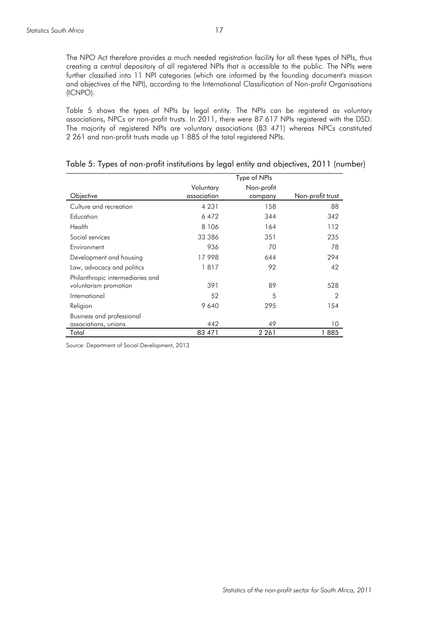The NPO Act therefore provides a much needed registration facility for all these types of NPIs, thus creating a central depository of all registered NPIs that is accessible to the public. The NPIs were further classified into 11 NPI categories (which are informed by the founding document's mission and objectives of the NPI), according to the International Classification of Non-profit Organisations (ICNPO).

Table 5 shows the types of NPIs by legal entity. The NPIs can be registered as voluntary associations, NPCs or non-profit trusts. In 2011, there were 87 617 NPIs registered with the DSD. The majority of registered NPIs are voluntary associations (83 471) whereas NPCs constituted 2 261 and non-profit trusts made up 1 885 of the total registered NPIs.

|                                                           |                          | Type of NPIs          |                  |
|-----------------------------------------------------------|--------------------------|-----------------------|------------------|
| Objective                                                 | Voluntary<br>association | Non-profit<br>company | Non-profit trust |
| Culture and recreation                                    | 4 2 3 1                  | 158                   | 88               |
| Education                                                 | 6472                     | 344                   | 342              |
| Health                                                    | 8 1 0 6                  | 164                   | 112              |
| Social services                                           | 33 386                   | 351                   | 235              |
| Environment                                               | 936                      | 70                    | 78               |
| Development and housing                                   | 17998                    | 644                   | 294              |
| Law, advocacy and politics                                | 1817                     | 92                    | 42               |
| Philanthropic intermediaries and<br>voluntarism promotion | 391                      | 89                    | 528              |
| International                                             | 52                       | 5                     | $\overline{2}$   |
| Religion                                                  | 9640                     | 295                   | 154              |
| Business and professional<br>associations, unions         | 442                      | 49                    | 10               |
| Total                                                     | 83 471                   | 2 2 6 1               | 1885             |

| Table 5: Types of non-profit institutions by legal entity and objectives, 2011 (number) |  |  |  |
|-----------------------------------------------------------------------------------------|--|--|--|
|-----------------------------------------------------------------------------------------|--|--|--|

Source: Department of Social Development, 2013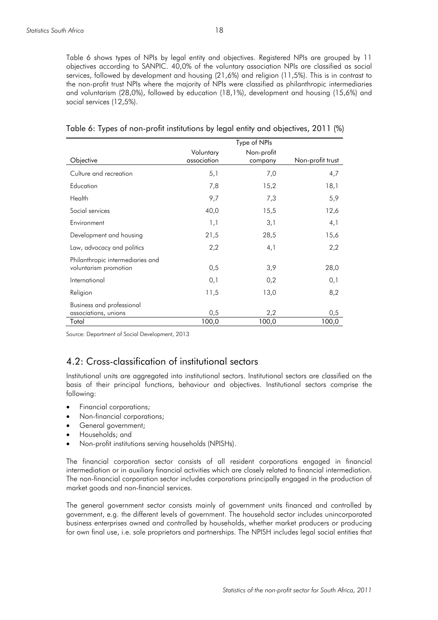Table 6 shows types of NPIs by legal entity and objectives. Registered NPIs are grouped by 11 objectives according to SANPIC. 40,0% of the voluntary association NPIs are classified as social services, followed by development and housing (21,6%) and religion (11,5%). This is in contrast to the non-profit trust NPIs where the majority of NPIs were classified as philanthropic intermediaries and voluntarism (28,0%), followed by education (18,1%), development and housing (15,6%) and social services (12,5%).

|                                                           | Type of NPIs             |                       |                  |
|-----------------------------------------------------------|--------------------------|-----------------------|------------------|
| Objective                                                 | Voluntary<br>association | Non-profit<br>company | Non-profit trust |
| Culture and recreation                                    | 5,1                      | 7,0                   | 4,7              |
| Education                                                 | 7,8                      | 15,2                  | 18,1             |
| Health                                                    | 9,7                      | 7,3                   | 5,9              |
| Social services                                           | 40,0                     | 15,5                  | 12,6             |
| Environment                                               | 1,1                      | 3,1                   | 4,1              |
| Development and housing                                   | 21,5                     | 28,5                  | 15,6             |
| Law, advocacy and politics                                | 2,2                      | 4,1                   | 2,2              |
| Philanthropic intermediaries and<br>voluntarism promotion | 0,5                      | 3,9                   | 28,0             |
| International                                             | 0,1                      | 0,2                   | 0,1              |
| Religion                                                  | 11,5                     | 13,0                  | 8,2              |
| Business and professional<br>associations, unions         | 0,5                      | 2,2                   | 0,5              |
| Total                                                     | 100,0                    | 100,0                 | 100,0            |

| Table 6: Types of non-profit institutions by legal entity and objectives, 2011 (%) |  |  |  |
|------------------------------------------------------------------------------------|--|--|--|
|------------------------------------------------------------------------------------|--|--|--|

Source: Department of Social Development, 2013

# 4.2: Cross-classification of institutional sectors

Institutional units are aggregated into institutional sectors. Institutional sectors are classified on the basis of their principal functions, behaviour and objectives. Institutional sectors comprise the following:

- Financial corporations;
- Non-financial corporations;
- General government;
- Households; and
- Non-profit institutions serving households (NPISHs).

The financial corporation sector consists of all resident corporations engaged in financial intermediation or in auxiliary financial activities which are closely related to financial intermediation. The non-financial corporation sector includes corporations principally engaged in the production of market goods and non-financial services.

The general government sector consists mainly of government units financed and controlled by government, e.g. the different levels of government. The household sector includes unincorporated business enterprises owned and controlled by households, whether market producers or producing for own final use, i.e. sole proprietors and partnerships. The NPISH includes legal social entities that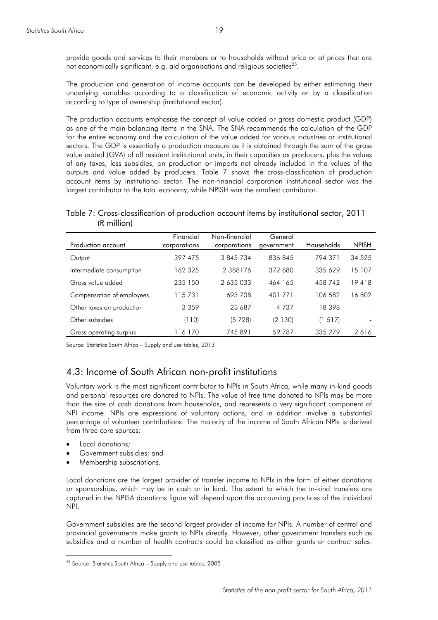provide goods and services to their members or to households without price or at prices that are not economically significant, e.g. aid organisations and religious societies<sup>25</sup>.

The production and generation of income accounts can be developed by either estimating their underlying variables according to a classification of economic activity or by a classification according to type of ownership (institutional sector).

The production accounts emphasise the concept of value added or gross domestic product (GDP) as one of the main balancing items in the SNA. The SNA recommends the calculation of the GDP for the entire economy and the calculation of the value added for various industries or institutional sectors. The GDP is essentially a production measure as it is obtained through the sum of the gross value added (GVA) of all resident institutional units, in their capacities as producers, plus the values of any taxes, less subsidies, on production or imports not already included in the values of the outputs and value added by producers. Table 7 shows the cross-classification of production account items by institutional sector. The non-financial corporation institutional sector was the largest contributor to the total economy, while NPISH was the smallest contributor.

Table 7: Cross-classification of production account items by institutional sector, 2011 (R million)

| Production account        | Financial<br>corporations | Non-financial<br>corporations | General<br>government | Households | <b>NPISH</b> |
|---------------------------|---------------------------|-------------------------------|-----------------------|------------|--------------|
| Output                    | 397 475                   | 3 845 734                     | 836 845               | 794 371    | 34 5 25      |
| Intermediate consumption  | 162 325                   | 2 3 8 8 1 7 6                 | 372 680               | 335 629    | 15 107       |
| Gross value added         | 235 150                   | 2 635 033                     | 464 165               | 458 742    | 19418        |
| Compensation of employees | 115 731                   | 693 708                       | 401 771               | 106 582    | 16802        |
| Other taxes on production | 3 3 5 9                   | 23 687                        | 4 7 3 7               | 18398      |              |
| Other subsidies           | (110)                     | (5 728)                       | (2 130)               | (1 517)    |              |
| Gross operating surplus   | 16 170                    | 745 891                       | 59 787                | 335 279    | 2616         |

Source: Statistics South Africa – Supply and use tables, 2013

## 4.3: Income of South African non-profit institutions

Voluntary work is the most significant contributor to NPIs in South Africa, while many in-kind goods and personal resources are donated to NPIs. The value of free time donated to NPIs may be more than the size of cash donations from households, and represents a very significant component of NPI income. NPIs are expressions of voluntary actions, and in addition involve a substantial percentage of volunteer contributions. The majority of the income of South African NPIs is derived from three core sources:

Local donations;

- Government subsidies; and
- Membership subscriptions.

Local donations are the largest provider of transfer income to NPIs in the form of either donations or sponsorships, which may be in cash or in kind. The extent to which the in-kind transfers are captured in the NPISA donations figure will depend upon the accounting practices of the individual NPI.

Government subsidies are the second largest provider of income for NPIs. A number of central and provincial governments make grants to NPIs directly. However, other government transfers such as subsidies and a number of health contracts could be classified as either grants or contract sales.

 $25$  Source: Statistics South Africa – Supply and use tables, 2005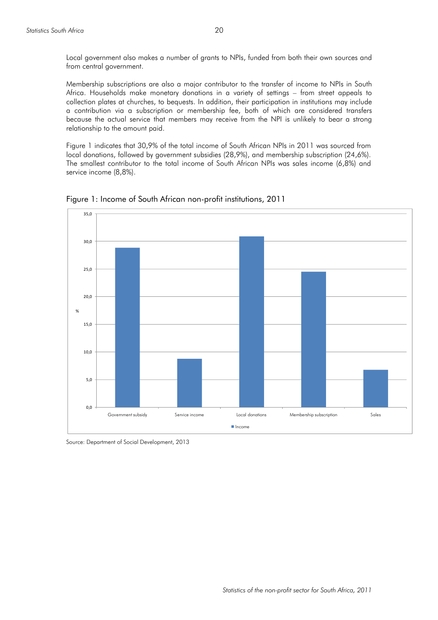Local government also makes a number of grants to NPIs, funded from both their own sources and from central government.

Membership subscriptions are also a major contributor to the transfer of income to NPIs in South Africa. Households make monetary donations in a variety of settings – from street appeals to collection plates at churches, to bequests. In addition, their participation in institutions may include a contribution via a subscription or membership fee, both of which are considered transfers because the actual service that members may receive from the NPI is unlikely to bear a strong relationship to the amount paid.

Figure 1 indicates that 30,9% of the total income of South African NPIs in 2011 was sourced from local donations, followed by government subsidies (28,9%), and membership subscription (24,6%). The smallest contributor to the total income of South African NPIs was sales income (6,8%) and service income (8,8%).



Figure 1: Income of South African non-profit institutions, 2011

Source: Department of Social Development, 2013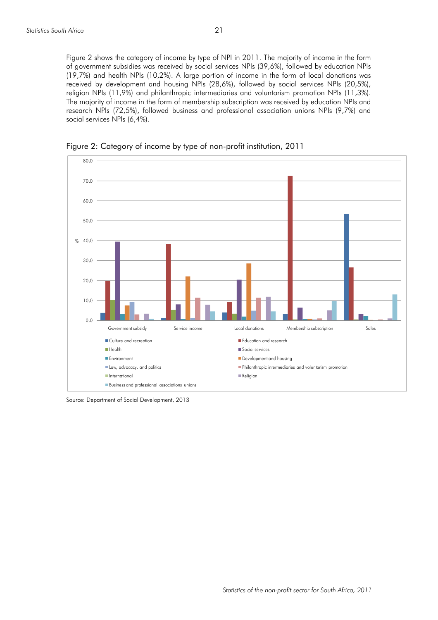Figure 2 shows the category of income by type of NPI in 2011. The majority of income in the form of government subsidies was received by social services NPIs (39,6%), followed by education NPIs (19,7%) and health NPIs (10,2%). A large portion of income in the form of local donations was received by development and housing NPIs (28,6%), followed by social services NPIs (20,5%), religion NPIs (11,9%) and philanthropic intermediaries and voluntarism promotion NPIs (11,3%). The majority of income in the form of membership subscription was received by education NPIs and research NPIs (72,5%), followed business and professional association unions NPIs (9,7%) and social services NPIs (6,4%).



Figure 2: Category of income by type of non-profit institution, 2011

Source: Department of Social Development, 2013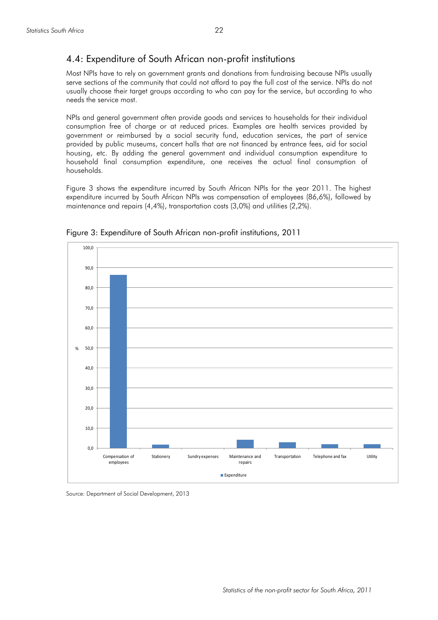### 4.4: Expenditure of South African non-profit institutions

Most NPIs have to rely on government grants and donations from fundraising because NPIs usually serve sections of the community that could not afford to pay the full cost of the service. NPIs do not usually choose their target groups according to who can pay for the service, but according to who needs the service most.

NPIs and general government often provide goods and services to households for their individual consumption free of charge or at reduced prices. Examples are health services provided by government or reimbursed by a social security fund, education services, the part of service provided by public museums, concert halls that are not financed by entrance fees, aid for social housing, etc. By adding the general government and individual consumption expenditure to household final consumption expenditure, one receives the actual final consumption of households.

Figure 3 shows the expenditure incurred by South African NPIs for the year 2011. The highest expenditure incurred by South African NPIs was compensation of employees (86,6%), followed by maintenance and repairs (4,4%), transportation costs (3,0%) and utilities (2,2%).



Figure 3: Expenditure of South African non-profit institutions, 2011

Source: Department of Social Development, 2013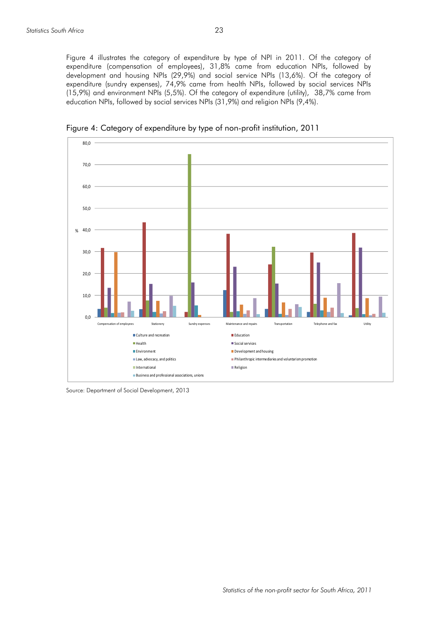Figure 4 illustrates the category of expenditure by type of NPI in 2011. Of the category of expenditure (compensation of employees), 31,8% came from education NPIs, followed by development and housing NPIs (29,9%) and social service NPIs (13,6%). Of the category of expenditure (sundry expenses), 74,9% came from health NPIs, followed by social services NPIs (15,9%) and environment NPIs (5,5%). Of the category of expenditure (utility), 38,7% came from education NPIs, followed by social services NPIs (31,9%) and religion NPIs (9,4%).



Figure 4: Category of expenditure by type of non-profit institution, 2011

Source: Department of Social Development, 2013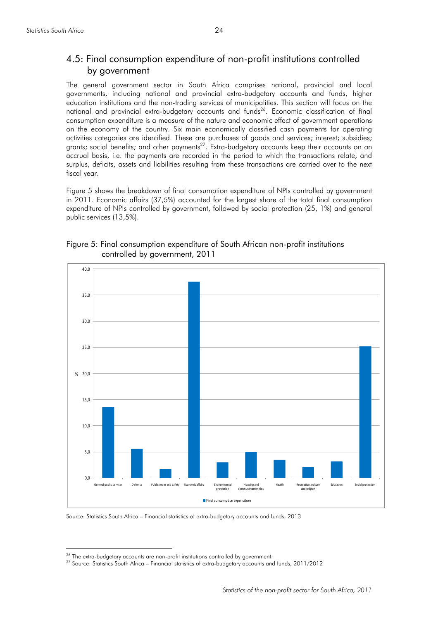# 4.5: Final consumption expenditure of non-profit institutions controlled by government

The general government sector in South Africa comprises national, provincial and local governments, including national and provincial extra-budgetary accounts and funds, higher education institutions and the non-trading services of municipalities. This section will focus on the national and provincial extra-budgetary accounts and funds<sup>26</sup>. Economic classification of final consumption expenditure is a measure of the nature and economic effect of government operations on the economy of the country. Six main economically classified cash payments for operating activities categories are identified. These are purchases of goods and services; interest; subsidies; grants; social benefits; and other payments<sup>27</sup>. Extra-budgetary accounts keep their accounts on an accrual basis, i.e. the payments are recorded in the period to which the transactions relate, and surplus, deficits, assets and liabilities resulting from these transactions are carried over to the next fiscal year.

Figure 5 shows the breakdown of final consumption expenditure of NPIs controlled by government in 2011. Economic affairs (37,5%) accounted for the largest share of the total final consumption expenditure of NPIs controlled by government, followed by social protection (25, 1%) and general public services (13,5%).



Figure 5: Final consumption expenditure of South African non-profit institutions controlled by government, 2011

Source: Statistics South Africa – Financial statistics of extra-budgetary accounts and funds, 2013

<sup>&</sup>lt;sup>26</sup> The extra-budgetary accounts are non-profit institutions controlled by government.

<sup>27</sup> Source: Statistics South Africa – Financial statistics of extra-budgetary accounts and funds, 2011/2012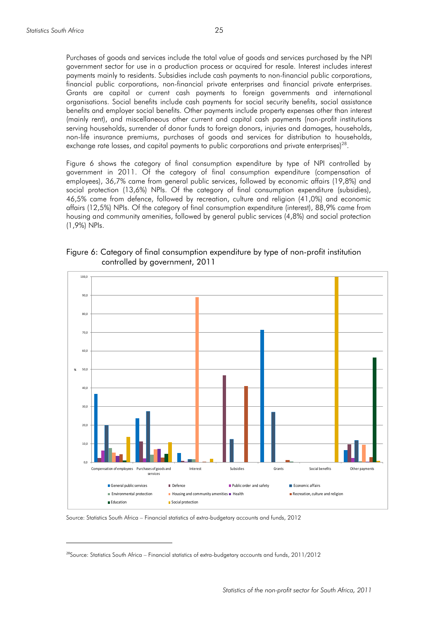$\overline{a}$ 

Purchases of goods and services include the total value of goods and services purchased by the NPI government sector for use in a production process or acquired for resale. Interest includes interest payments mainly to residents. Subsidies include cash payments to non-financial public corporations, financial public corporations, non-financial private enterprises and financial private enterprises. Grants are capital or current cash payments to foreign governments and international organisations. Social benefits include cash payments for social security benefits, social assistance benefits and employer social benefits. Other payments include property expenses other than interest (mainly rent), and miscellaneous other current and capital cash payments (non-profit institutions serving households, surrender of donor funds to foreign donors, injuries and damages, households, non-life insurance premiums, purchases of goods and services for distribution to households, exchange rate losses, and capital payments to public corporations and private enterprises)<sup>28</sup>.

Figure 6 shows the category of final consumption expenditure by type of NPI controlled by government in 2011. Of the category of final consumption expenditure (compensation of employees), 36,7% came from general public services, followed by economic affairs (19,8%) and social protection (13,6%) NPIs. Of the category of final consumption expenditure (subsidies), 46,5% came from defence, followed by recreation, culture and religion (41,0%) and economic affairs (12,5%) NPIs. Of the category of final consumption expenditure (interest), 88,9% came from housing and community amenities, followed by general public services (4,8%) and social protection (1,9%) NPIs.

Figure 6: Category of final consumption expenditure by type of non-profit institution controlled by government, 2011



Source: Statistics South Africa – Financial statistics of extra-budgetary accounts and funds, 2012

<sup>&</sup>lt;sup>28</sup>Source: Statistics South Africa – Financial statistics of extra-budgetary accounts and funds, 2011/2012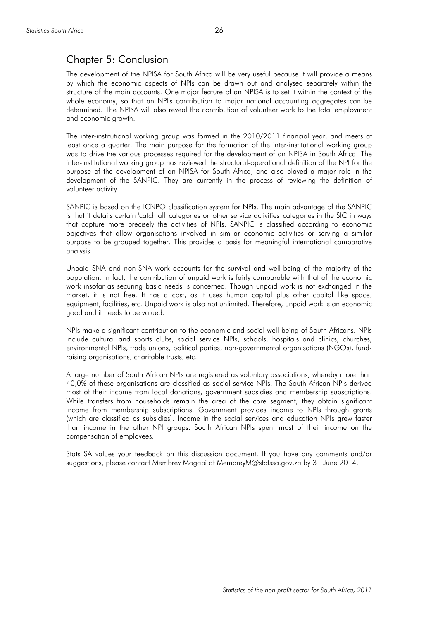# Chapter 5: Conclusion

The development of the NPISA for South Africa will be very useful because it will provide a means by which the economic aspects of NPIs can be drawn out and analysed separately within the structure of the main accounts. One major feature of an NPISA is to set it within the context of the whole economy, so that an NPI's contribution to major national accounting aggregates can be determined. The NPISA will also reveal the contribution of volunteer work to the total employment and economic growth.

The inter-institutional working group was formed in the 2010/2011 financial year, and meets at least once a quarter. The main purpose for the formation of the inter-institutional working group was to drive the various processes required for the development of an NPISA in South Africa. The inter-institutional working group has reviewed the structural-operational definition of the NPI for the purpose of the development of an NPISA for South Africa, and also played a major role in the development of the SANPIC. They are currently in the process of reviewing the definition of volunteer activity.

SANPIC is based on the ICNPO classification system for NPIs. The main advantage of the SANPIC is that it details certain 'catch all' categories or 'other service activities' categories in the SIC in ways that capture more precisely the activities of NPIs. SANPIC is classified according to economic objectives that allow organisations involved in similar economic activities or serving a similar purpose to be grouped together. This provides a basis for meaningful international comparative analysis.

Unpaid SNA and non-SNA work accounts for the survival and well-being of the majority of the population. In fact, the contribution of unpaid work is fairly comparable with that of the economic work insofar as securing basic needs is concerned. Though unpaid work is not exchanged in the market, it is not free. It has a cost, as it uses human capital plus other capital like space, equipment, facilities, etc. Unpaid work is also not unlimited. Therefore, unpaid work is an economic good and it needs to be valued.

NPIs make a significant contribution to the economic and social well-being of South Africans. NPIs include cultural and sports clubs, social service NPIs, schools, hospitals and clinics, churches, environmental NPIs, trade unions, political parties, non-governmental organisations (NGOs), fundraising organisations, charitable trusts, etc.

A large number of South African NPIs are registered as voluntary associations, whereby more than 40,0% of these organisations are classified as social service NPIs. The South African NPIs derived most of their income from local donations, government subsidies and membership subscriptions. While transfers from households remain the area of the core segment, they obtain significant income from membership subscriptions. Government provides income to NPIs through grants (which are classified as subsidies). Income in the social services and education NPIs grew faster than income in the other NPI groups. South African NPIs spent most of their income on the compensation of employees.

Stats SA values your feedback on this discussion document. If you have any comments and/or suggestions, please contact Membrey Mogapi at MembreyM@statssa.gov.za by 31 June 2014.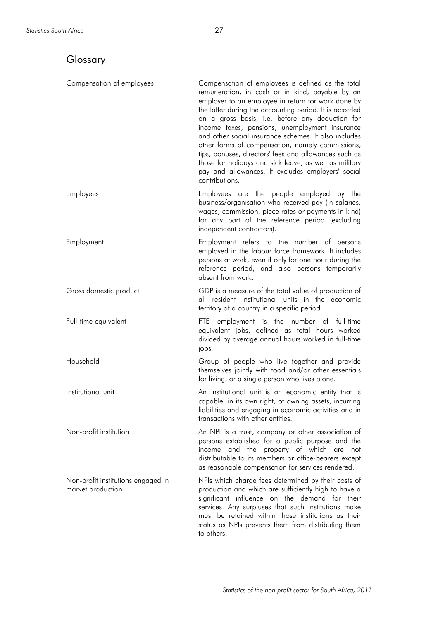# Glossary

| Compensation of employees                               | Compensation of employees is defined as the total<br>remuneration, in cash or in kind, payable by an<br>employer to an employee in return for work done by<br>the latter during the accounting period. It is recorded<br>on a gross basis, i.e. before any deduction for<br>income taxes, pensions, unemployment insurance<br>and other social insurance schemes. It also includes<br>other forms of compensation, namely commissions,<br>tips, bonuses, directors' fees and allowances such as<br>those for holidays and sick leave, as well as military<br>pay and allowances. It excludes employers' social<br>contributions. |
|---------------------------------------------------------|----------------------------------------------------------------------------------------------------------------------------------------------------------------------------------------------------------------------------------------------------------------------------------------------------------------------------------------------------------------------------------------------------------------------------------------------------------------------------------------------------------------------------------------------------------------------------------------------------------------------------------|
| <b>Employees</b>                                        | Employees are the people employed by the<br>business/organisation who received pay (in salaries,<br>wages, commission, piece rates or payments in kind)<br>for any part of the reference period (excluding<br>independent contractors).                                                                                                                                                                                                                                                                                                                                                                                          |
| Employment                                              | Employment refers to the number of persons<br>employed in the labour force framework. It includes<br>persons at work, even if only for one hour during the<br>reference period, and also persons temporarily<br>absent from work.                                                                                                                                                                                                                                                                                                                                                                                                |
| Gross domestic product                                  | GDP is a measure of the total value of production of<br>all resident institutional units in the economic<br>territory of a country in a specific period.                                                                                                                                                                                                                                                                                                                                                                                                                                                                         |
| Full-time equivalent                                    | FTE employment is the number of full-time<br>equivalent jobs, defined as total hours worked<br>divided by average annual hours worked in full-time<br>jobs.                                                                                                                                                                                                                                                                                                                                                                                                                                                                      |
| Household                                               | Group of people who live together and provide<br>themselves jointly with food and/or other essentials<br>for living, or a single person who lives alone.                                                                                                                                                                                                                                                                                                                                                                                                                                                                         |
| Institutional unit                                      | An institutional unit is an economic entity that is<br>capable, in its own right, of owning assets, incurring<br>liabilities and engaging in economic activities and in<br>transactions with other entities.                                                                                                                                                                                                                                                                                                                                                                                                                     |
| Non-profit institution                                  | An NPI is a trust, company or other association of<br>persons established for a public purpose and the<br>income and the property of which are not<br>distributable to its members or office-bearers except<br>as reasonable compensation for services rendered.                                                                                                                                                                                                                                                                                                                                                                 |
| Non-profit institutions engaged in<br>market production | NPIs which charge fees determined by their costs of<br>production and which are sufficiently high to have a<br>significant influence on the demand for their<br>services. Any surpluses that such institutions make<br>must be retained within those institutions as their<br>status as NPIs prevents them from distributing them<br>to others.                                                                                                                                                                                                                                                                                  |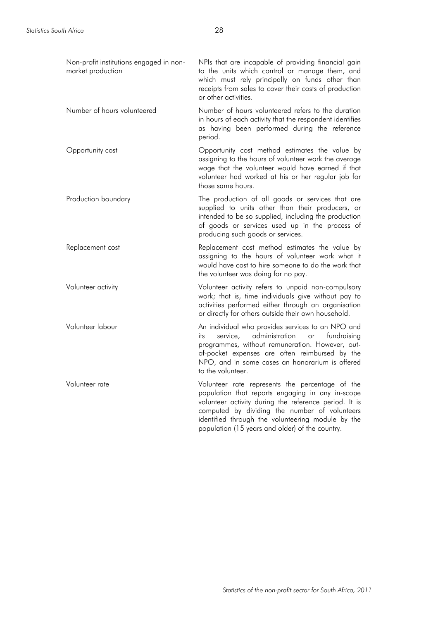| Non-profit institutions engaged in non-<br>market production | NPIs that are incapable of providing financial gain<br>to the units which control or manage them, and<br>which must rely principally on funds other than<br>receipts from sales to cover their costs of production<br>or other activities.                                                                            |
|--------------------------------------------------------------|-----------------------------------------------------------------------------------------------------------------------------------------------------------------------------------------------------------------------------------------------------------------------------------------------------------------------|
| Number of hours volunteered                                  | Number of hours volunteered refers to the duration<br>in hours of each activity that the respondent identifies<br>as having been performed during the reference<br>period.                                                                                                                                            |
| Opportunity cost                                             | Opportunity cost method estimates the value by<br>assigning to the hours of volunteer work the average<br>wage that the volunteer would have earned if that<br>volunteer had worked at his or her regular job for<br>those same hours.                                                                                |
| Production boundary                                          | The production of all goods or services that are<br>supplied to units other than their producers, or<br>intended to be so supplied, including the production<br>of goods or services used up in the process of<br>producing such goods or services.                                                                   |
| Replacement cost                                             | Replacement cost method estimates the value by<br>assigning to the hours of volunteer work what it<br>would have cost to hire someone to do the work that<br>the volunteer was doing for no pay.                                                                                                                      |
| Volunteer activity                                           | Volunteer activity refers to unpaid non-compulsory<br>work; that is, time individuals give without pay to<br>activities performed either through an organisation<br>or directly for others outside their own household.                                                                                               |
| Volunteer labour                                             | An individual who provides services to an NPO and<br>service,<br>administration<br>fundraising<br>or<br>its<br>programmes, without remuneration. However, out-<br>of-pocket expenses are often reimbursed by the<br>NPO, and in some cases an honorarium is offered<br>to the volunteer.                              |
| Volunteer rate                                               | Volunteer rate represents the percentage of the<br>population that reports engaging in any in-scope<br>volunteer activity during the reference period. It is<br>computed by dividing the number of volunteers<br>identified through the volunteering module by the<br>population (15 years and older) of the country. |